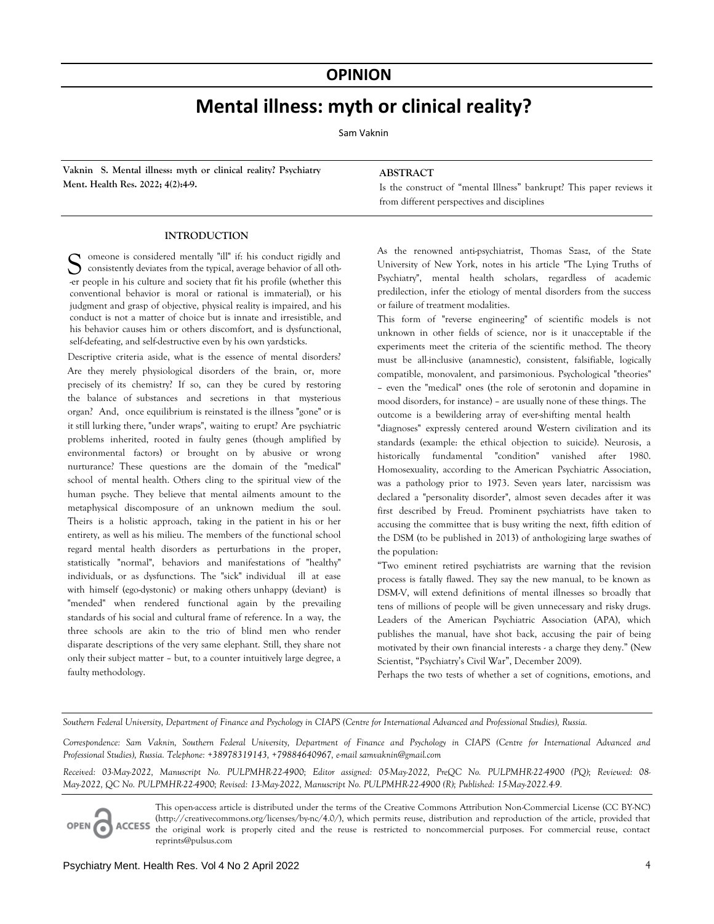# **Mental illness: myth or clinical reality?**

Sam Vaknin

**Vaknin S. Mental illness: myth or clinical reality? Psychiatry Ment. Health Res. 2022; 4(2):4-9.** 

## **ABSTRACT**

Is the construct of "mental Illness" bankrupt? This paper reviews it from different perspectives and disciplines

#### **INTRODUCTION**

-er people in his culture and society that fit his profile (whether this conventional behavior is moral or rational is immaterial), or his judgment and grasp of objective, physical reality is impaired, and his conduct is not a matter of choice but is innate and irresistible, and his behavior causes him or others discomfort, and is dysfunctional, self-defeating, and self-destructive even by his own yardsticks. omeone is considered mentally "ill" if: his conduct rigidly and consistently deviates from the typical, average behavior of all oth-

Descriptive criteria aside, what is the essence of mental disorders? Are they merely physiological disorders of the brain, or, more precisely of its chemistry? If so, can they be cured by restoring the balance of substances and secretions in that mysterious organ? And, once equilibrium is reinstated is the illness "gone" or is it still lurking there, "under wraps", waiting to erupt? Are psychiatric problems inherited, rooted in faulty genes (though amplified by environmental factors) or brought on by abusive or wrong nurturance? These questions are the domain of the "medical" school of mental health. Others cling to the spiritual view of the human psyche. They believe that mental ailments amount to the metaphysical discomposure of an unknown medium the soul. Theirs is a holistic approach, taking in the patient in his or her entirety, as well as his milieu. The members of the functional school regard mental health disorders as perturbations in the proper, statistically "normal", behaviors and manifestations of "healthy" individuals, or as dysfunctions. The "sick" individual ill at ease with himself (ego-dystonic) or making others unhappy (deviant) is "mended" when rendered functional again by the prevailing standards of his social and cultural frame of reference. In a way, the three schools are akin to the trio of blind men who render disparate descriptions of the very same elephant. Still, they share not only their subject matter – but, to a counter intuitively large degree, a faulty methodology.

As the renowned anti-psychiatrist, Thomas Szasz, of the State University of New York, notes in his article "The Lying Truths of Psychiatry", mental health scholars, regardless of academic predilection, infer the etiology of mental disorders from the success or failure of treatment modalities.

This form of "reverse engineering" of scientific models is not unknown in other fields of science, nor is it unacceptable if the experiments meet the criteria of the scientific method. The theory must be all-inclusive (anamnestic), consistent, falsifiable, logically compatible, monovalent, and parsimonious. Psychological "theories" – even the "medical" ones (the role of serotonin and dopamine in mood disorders, for instance) – are usually none of these things. The outcome is a bewildering array of ever-shifting mental health

"diagnoses" expressly centered around Western civilization and its standards (example: the ethical objection to suicide). Neurosis, a historically fundamental "condition" vanished after 1980. Homosexuality, according to the American Psychiatric Association, was a pathology prior to 1973. Seven years later, narcissism was declared a "personality disorder", almost seven decades after it was first described by Freud. Prominent psychiatrists have taken to accusing the committee that is busy writing the next, fifth edition of the DSM (to be published in 2013) of anthologizing large swathes of the population:

"Two eminent retired psychiatrists are warning that the revision process is fatally flawed. They say the new manual, to be known as DSM-V, will extend definitions of mental illnesses so broadly that tens of millions of people will be given unnecessary and risky drugs. Leaders of the American Psychiatric Association (APA), which publishes the manual, have shot back, accusing the pair of being motivated by their own financial interests - a charge they deny." (New Scientist, "Psychiatry's Civil War", December 2009).

Perhaps the two tests of whether a set of cognitions, emotions, and

*Southern Federal University, Department of Finance and Psychology in CIAPS (Centre for International Advanced and Professional Studies), Russia.* 

*Correspondence: Sam Vaknin, Southern Federal University, Department of Finance and Psychology in CIAPS (Centre for International Advanced and Professional Studies), Russia. Telephone: +38978319143, +79884640967, e-mail samvaknin@gmail.com*

*Received: 03-May-2022, Manuscript No. PULPMHR-22-4900; Editor assigned: 05-May-2022, PreQC No. PULPMHR-22-4900 (PQ); Reviewed: 08- May-2022, QC No. PULPMHR-22-4900; Revised: 13-May-2022, Manuscript No. PULPMHR-22-4900 (R); Published: 15-May-2022.4-9.*

This open-access article is distributed under the terms of the Creative Commons Attribution Non-Commercial License (CC BY-NC) (http://creativecommons.org/licenses/by-nc/4.0/), which permits reuse, distribution and reproduction of the article, provided that **ACCESS** the original work is properly cited and the reuse is restricted to noncommercial purposes. For commercial reuse, contact reprints@pulsus.com

OPEN C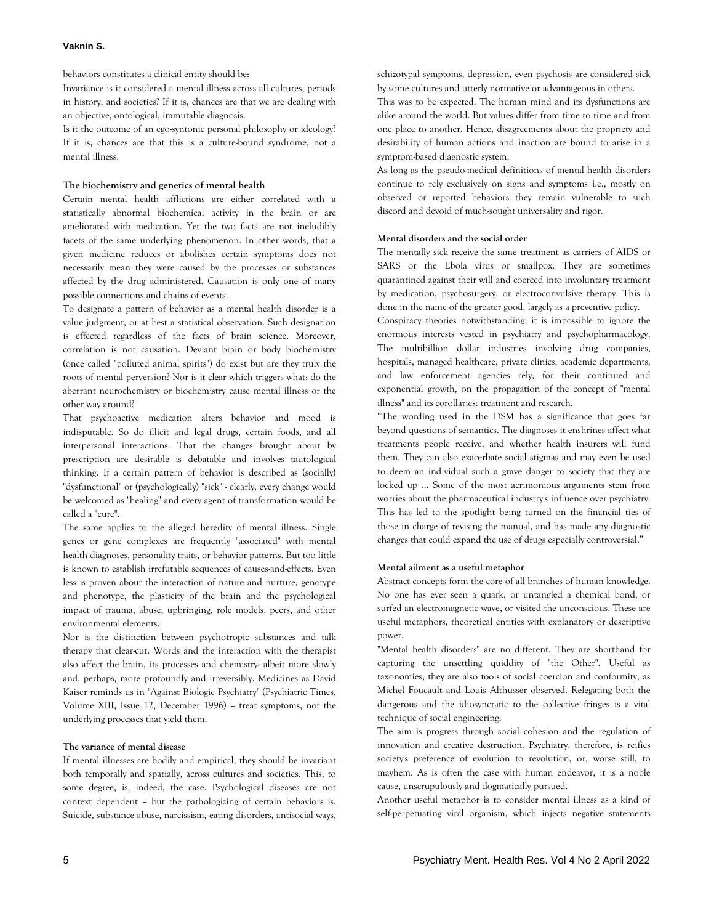## **Vaknin S.**

behaviors constitutes a clinical entity should be:

Invariance is it considered a mental illness across all cultures, periods in history, and societies? If it is, chances are that we are dealing with an objective, ontological, immutable diagnosis.

Is it the outcome of an ego-syntonic personal philosophy or ideology? If it is, chances are that this is a culture-bound syndrome, not a mental illness.

#### **The biochemistry and genetics of mental health**

Certain mental health afflictions are either correlated with a statistically abnormal biochemical activity in the brain or are ameliorated with medication. Yet the two facts are not ineludibly facets of the same underlying phenomenon. In other words, that a given medicine reduces or abolishes certain symptoms does not necessarily mean they were caused by the processes or substances affected by the drug administered. Causation is only one of many possible connections and chains of events.

To designate a pattern of behavior as a mental health disorder is a value judgment, or at best a statistical observation. Such designation is effected regardless of the facts of brain science. Moreover, correlation is not causation. Deviant brain or body biochemistry (once called "polluted animal spirits") do exist but are they truly the roots of mental perversion? Nor is it clear which triggers what: do the aberrant neurochemistry or biochemistry cause mental illness or the other way around?

That psychoactive medication alters behavior and mood is indisputable. So do illicit and legal drugs, certain foods, and all interpersonal interactions. That the changes brought about by prescription are desirable is debatable and involves tautological thinking. If a certain pattern of behavior is described as (socially) "dysfunctional" or (psychologically) "sick" - clearly, every change would be welcomed as "healing" and every agent of transformation would be called a "cure".

The same applies to the alleged heredity of mental illness. Single genes or gene complexes are frequently "associated" with mental health diagnoses, personality traits, or behavior patterns. But too little is known to establish irrefutable sequences of causes-and-effects. Even less is proven about the interaction of nature and nurture, genotype and phenotype, the plasticity of the brain and the psychological impact of trauma, abuse, upbringing, role models, peers, and other environmental elements.

Nor is the distinction between psychotropic substances and talk therapy that clear-cut. Words and the interaction with the therapist also affect the brain, its processes and chemistry- albeit more slowly and, perhaps, more profoundly and irreversibly. Medicines as David Kaiser reminds us in "Against Biologic Psychiatry" (Psychiatric Times, Volume XIII, Issue 12, December 1996) – treat symptoms, not the underlying processes that yield them.

#### **The variance of mental disease**

If mental illnesses are bodily and empirical, they should be invariant both temporally and spatially, across cultures and societies. This, to some degree, is, indeed, the case. Psychological diseases are not context dependent – but the pathologizing of certain behaviors is. Suicide, substance abuse, narcissism, eating disorders, antisocial ways, schizotypal symptoms, depression, even psychosis are considered sick by some cultures and utterly normative or advantageous in others.

This was to be expected. The human mind and its dysfunctions are alike around the world. But values differ from time to time and from one place to another. Hence, disagreements about the propriety and desirability of human actions and inaction are bound to arise in a symptom-based diagnostic system.

As long as the pseudo-medical definitions of mental health disorders continue to rely exclusively on signs and symptoms i.e., mostly on observed or reported behaviors they remain vulnerable to such discord and devoid of much-sought universality and rigor.

## **Mental disorders and the social order**

The mentally sick receive the same treatment as carriers of AIDS or SARS or the Ebola virus or smallpox. They are sometimes quarantined against their will and coerced into involuntary treatment by medication, psychosurgery, or electroconvulsive therapy. This is done in the name of the greater good, largely as a preventive policy.

Conspiracy theories notwithstanding, it is impossible to ignore the enormous interests vested in psychiatry and psychopharmacology. The multibillion dollar industries involving drug companies, hospitals, managed healthcare, private clinics, academic departments, and law enforcement agencies rely, for their continued and exponential growth, on the propagation of the concept of "mental illness" and its corollaries: treatment and research.

"The wording used in the DSM has a significance that goes far beyond questions of semantics. The diagnoses it enshrines affect what treatments people receive, and whether health insurers will fund them. They can also exacerbate social stigmas and may even be used to deem an individual such a grave danger to society that they are locked up ... Some of the most acrimonious arguments stem from worries about the pharmaceutical industry's influence over psychiatry. This has led to the spotlight being turned on the financial ties of those in charge of revising the manual, and has made any diagnostic changes that could expand the use of drugs especially controversial."

# **Mental ailment as a useful metaphor**

Abstract concepts form the core of all branches of human knowledge. No one has ever seen a quark, or untangled a chemical bond, or surfed an electromagnetic wave, or visited the unconscious. These are useful metaphors, theoretical entities with explanatory or descriptive power.

"Mental health disorders" are no different. They are shorthand for capturing the unsettling quiddity of "the Other". Useful as taxonomies, they are also tools of social coercion and conformity, as Michel Foucault and Louis Althusser observed. Relegating both the dangerous and the idiosyncratic to the collective fringes is a vital technique of social engineering.

The aim is progress through social cohesion and the regulation of innovation and creative destruction. Psychiatry, therefore, is reifies society's preference of evolution to revolution, or, worse still, to mayhem. As is often the case with human endeavor, it is a noble cause, unscrupulously and dogmatically pursued.

Another useful metaphor is to consider mental illness as a kind of self-perpetuating viral organism, which injects negative statements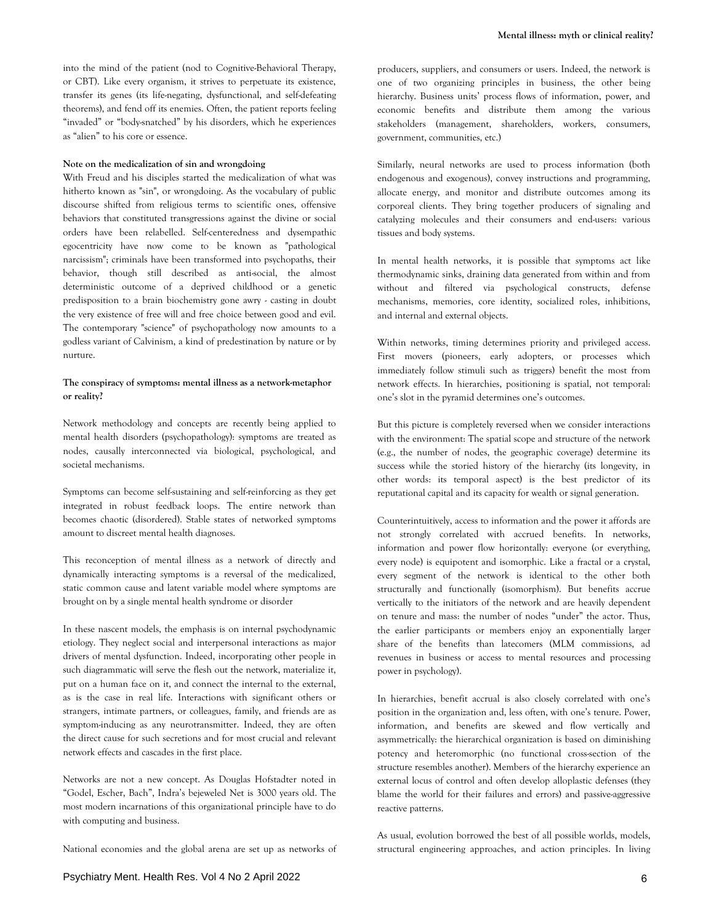#### **Note on the medicalization of sin and wrongdoing**

With Freud and his disciples started the medicalization of what was hitherto known as "sin", or wrongdoing. As the vocabulary of public discourse shifted from religious terms to scientific ones, offensive behaviors that constituted transgressions against the divine or social orders have been relabelled. Self-centeredness and dysempathic egocentricity have now come to be known as "pathological narcissism"; criminals have been transformed into psychopaths, their behavior, though still described as anti-social, the almost deterministic outcome of a deprived childhood or a genetic predisposition to a brain biochemistry gone awry - casting in doubt the very existence of free will and free choice between good and evil. The contemporary "science" of psychopathology now amounts to a godless variant of Calvinism, a kind of predestination by nature or by nurture.

# **The conspiracy of symptoms: mental illness as a network-metaphor or reality?**

Network methodology and concepts are recently being applied to mental health disorders (psychopathology): symptoms are treated as nodes, causally interconnected via biological, psychological, and societal mechanisms.

Symptoms can become self-sustaining and self-reinforcing as they get integrated in robust feedback loops. The entire network than becomes chaotic (disordered). Stable states of networked symptoms amount to discreet mental health diagnoses.

This reconception of mental illness as a network of directly and dynamically interacting symptoms is a reversal of the medicalized, static common cause and latent variable model where symptoms are brought on by a single mental health syndrome or disorder

In these nascent models, the emphasis is on internal psychodynamic etiology. They neglect social and interpersonal interactions as major drivers of mental dysfunction. Indeed, incorporating other people in such diagrammatic will serve the flesh out the network, materialize it, put on a human face on it, and connect the internal to the external, as is the case in real life. Interactions with significant others or strangers, intimate partners, or colleagues, family, and friends are as symptom-inducing as any neurotransmitter. Indeed, they are often the direct cause for such secretions and for most crucial and relevant network effects and cascades in the first place.

Networks are not a new concept. As Douglas Hofstadter noted in "Godel, Escher, Bach", Indra's bejeweled Net is 3000 years old. The most modern incarnations of this organizational principle have to do with computing and business.

National economies and the global arena are set up as networks of

producers, suppliers, and consumers or users. Indeed, the network is one of two organizing principles in business, the other being hierarchy. Business units' process flows of information, power, and economic benefits and distribute them among the various stakeholders (management, shareholders, workers, consumers, government, communities, etc.)

Similarly, neural networks are used to process information (both endogenous and exogenous), convey instructions and programming, allocate energy, and monitor and distribute outcomes among its corporeal clients. They bring together producers of signaling and catalyzing molecules and their consumers and end-users: various tissues and body systems.

In mental health networks, it is possible that symptoms act like thermodynamic sinks, draining data generated from within and from without and filtered via psychological constructs, defense mechanisms, memories, core identity, socialized roles, inhibitions, and internal and external objects.

Within networks, timing determines priority and privileged access. First movers (pioneers, early adopters, or processes which immediately follow stimuli such as triggers) benefit the most from network effects. In hierarchies, positioning is spatial, not temporal: one's slot in the pyramid determines one's outcomes.

But this picture is completely reversed when we consider interactions with the environment: The spatial scope and structure of the network (e.g., the number of nodes, the geographic coverage) determine its success while the storied history of the hierarchy (its longevity, in other words: its temporal aspect) is the best predictor of its reputational capital and its capacity for wealth or signal generation.

Counterintuitively, access to information and the power it affords are not strongly correlated with accrued benefits. In networks, information and power flow horizontally: everyone (or everything, every node) is equipotent and isomorphic. Like a fractal or a crystal, every segment of the network is identical to the other both structurally and functionally (isomorphism). But benefits accrue vertically to the initiators of the network and are heavily dependent on tenure and mass: the number of nodes "under" the actor. Thus, the earlier participants or members enjoy an exponentially larger share of the benefits than latecomers (MLM commissions, ad revenues in business or access to mental resources and processing power in psychology).

In hierarchies, benefit accrual is also closely correlated with one's position in the organization and, less often, with one's tenure. Power, information, and benefits are skewed and flow vertically and asymmetrically: the hierarchical organization is based on diminishing potency and heteromorphic (no functional cross-section of the structure resembles another). Members of the hierarchy experience an external locus of control and often develop alloplastic defenses (they blame the world for their failures and errors) and passive-aggressive reactive patterns.

As usual, evolution borrowed the best of all possible worlds, models, structural engineering approaches, and action principles. In living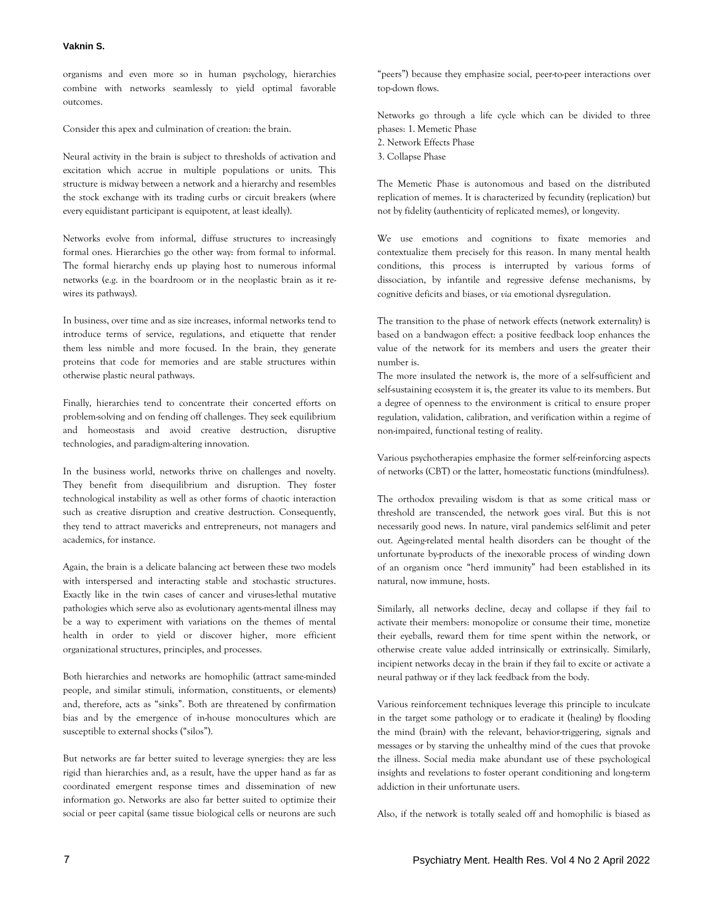## **Vaknin S.**

organisms and even more so in human psychology, hierarchies combine with networks seamlessly to yield optimal favorable outcomes.

Consider this apex and culmination of creation: the brain.

Neural activity in the brain is subject to thresholds of activation and excitation which accrue in multiple populations or units. This structure is midway between a network and a hierarchy and resembles the stock exchange with its trading curbs or circuit breakers (where every equidistant participant is equipotent, at least ideally).

Networks evolve from informal, diffuse structures to increasingly formal ones. Hierarchies go the other way: from formal to informal. The formal hierarchy ends up playing host to numerous informal networks (e.g. in the boardroom or in the neoplastic brain as it rewires its pathways).

In business, over time and as size increases, informal networks tend to introduce terms of service, regulations, and etiquette that render them less nimble and more focused. In the brain, they generate proteins that code for memories and are stable structures within otherwise plastic neural pathways.

Finally, hierarchies tend to concentrate their concerted efforts on problem-solving and on fending off challenges. They seek equilibrium and homeostasis and avoid creative destruction, disruptive technologies, and paradigm-altering innovation.

In the business world, networks thrive on challenges and novelty. They benefit from disequilibrium and disruption. They foster technological instability as well as other forms of chaotic interaction such as creative disruption and creative destruction. Consequently, they tend to attract mavericks and entrepreneurs, not managers and academics, for instance.

Again, the brain is a delicate balancing act between these two models with interspersed and interacting stable and stochastic structures. Exactly like in the twin cases of cancer and viruses-lethal mutative pathologies which serve also as evolutionary agents-mental illness may be a way to experiment with variations on the themes of mental health in order to yield or discover higher, more efficient organizational structures, principles, and processes.

Both hierarchies and networks are homophilic (attract same-minded people, and similar stimuli, information, constituents, or elements) and, therefore, acts as "sinks". Both are threatened by confirmation bias and by the emergence of in-house monocultures which are susceptible to external shocks ("silos").

But networks are far better suited to leverage synergies: they are less rigid than hierarchies and, as a result, have the upper hand as far as coordinated emergent response times and dissemination of new information go. Networks are also far better suited to optimize their social or peer capital (same tissue biological cells or neurons are such

"peers") because they emphasize social, peer-to-peer interactions over top-down flows.

Networks go through a life cycle which can be divided to three phases: 1. Memetic Phase 2. Network Effects Phase

3. Collapse Phase

The Memetic Phase is autonomous and based on the distributed replication of memes. It is characterized by fecundity (replication) but not by fidelity (authenticity of replicated memes), or longevity.

We use emotions and cognitions to fixate memories and contextualize them precisely for this reason. In many mental health conditions, this process is interrupted by various forms of dissociation, by infantile and regressive defense mechanisms, by cognitive deficits and biases, or *via* emotional dysregulation.

The transition to the phase of network effects (network externality) is based on a bandwagon effect: a positive feedback loop enhances the value of the network for its members and users the greater their number is.

The more insulated the network is, the more of a self-sufficient and self-sustaining ecosystem it is, the greater its value to its members. But a degree of openness to the environment is critical to ensure proper regulation, validation, calibration, and verification within a regime of non-impaired, functional testing of reality.

Various psychotherapies emphasize the former self-reinforcing aspects of networks (CBT) or the latter, homeostatic functions (mindfulness).

The orthodox prevailing wisdom is that as some critical mass or threshold are transcended, the network goes viral. But this is not necessarily good news. In nature, viral pandemics self-limit and peter out. Ageing-related mental health disorders can be thought of the unfortunate by-products of the inexorable process of winding down of an organism once "herd immunity" had been established in its natural, now immune, hosts.

Similarly, all networks decline, decay and collapse if they fail to activate their members: monopolize or consume their time, monetize their eyeballs, reward them for time spent within the network, or otherwise create value added intrinsically or extrinsically. Similarly, incipient networks decay in the brain if they fail to excite or activate a neural pathway or if they lack feedback from the body.

Various reinforcement techniques leverage this principle to inculcate in the target some pathology or to eradicate it (healing) by flooding the mind (brain) with the relevant, behavior-triggering, signals and messages or by starving the unhealthy mind of the cues that provoke the illness. Social media make abundant use of these psychological insights and revelations to foster operant conditioning and long-term addiction in their unfortunate users.

Also, if the network is totally sealed off and homophilic is biased as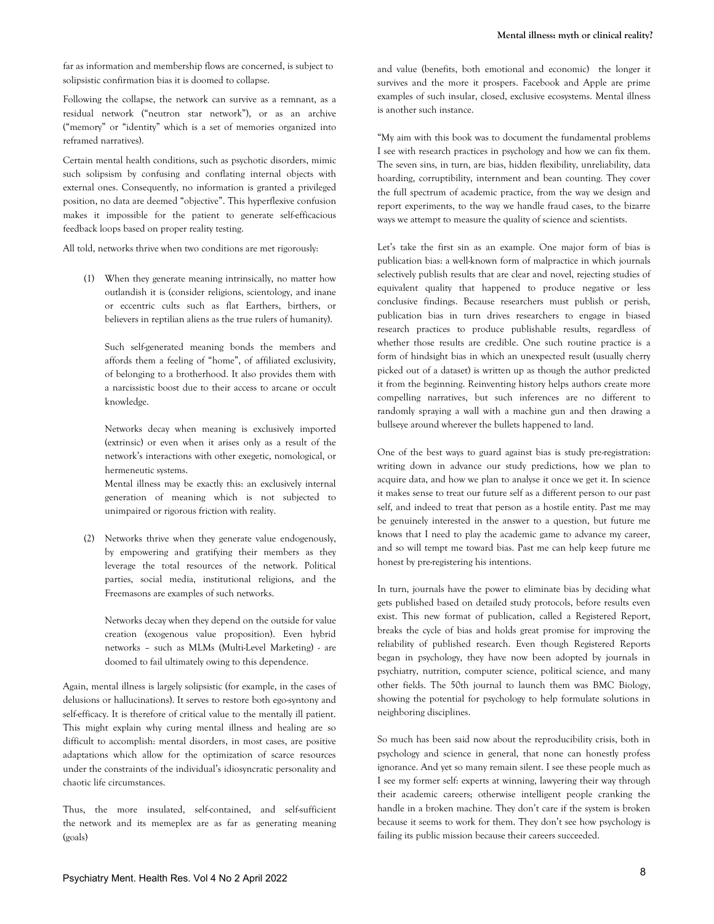far as information and membership flows are concerned, is subject to solipsistic confirmation bias it is doomed to collapse.

Following the collapse, the network can survive as a remnant, as a residual network ("neutron star network"), or as an archive ("memory" or "identity" which is a set of memories organized into reframed narratives).

Certain mental health conditions, such as psychotic disorders, mimic such solipsism by confusing and conflating internal objects with external ones. Consequently, no information is granted a privileged position, no data are deemed "objective". This hyperflexive confusion makes it impossible for the patient to generate self-efficacious feedback loops based on proper reality testing.

All told, networks thrive when two conditions are met rigorously:

(1) When they generate meaning intrinsically, no matter how outlandish it is (consider religions, scientology, and inane or eccentric cults such as flat Earthers, birthers, or believers in reptilian aliens as the true rulers of humanity).

Such self-generated meaning bonds the members and affords them a feeling of "home", of affiliated exclusivity, of belonging to a brotherhood. It also provides them with a narcissistic boost due to their access to arcane or occult knowledge.

Networks decay when meaning is exclusively imported (extrinsic) or even when it arises only as a result of the network's interactions with other exegetic, nomological, or hermeneutic systems.

Mental illness may be exactly this: an exclusively internal generation of meaning which is not subjected to unimpaired or rigorous friction with reality.

(2) Networks thrive when they generate value endogenously, by empowering and gratifying their members as they leverage the total resources of the network. Political parties, social media, institutional religions, and the Freemasons are examples of such networks.

Networks decay when they depend on the outside for value creation (exogenous value proposition). Even hybrid networks – such as MLMs (Multi-Level Marketing) - are doomed to fail ultimately owing to this dependence.

Again, mental illness is largely solipsistic (for example, in the cases of delusions or hallucinations). It serves to restore both ego-syntony and self-efficacy. It is therefore of critical value to the mentally ill patient. This might explain why curing mental illness and healing are so difficult to accomplish: mental disorders, in most cases, are positive adaptations which allow for the optimization of scarce resources under the constraints of the individual's idiosyncratic personality and chaotic life circumstances.

Thus, the more insulated, self-contained, and self-sufficient the network and its memeplex are as far as generating meaning (goals)

and value (benefits, both emotional and economic) the longer it survives and the more it prospers. Facebook and Apple are prime examples of such insular, closed, exclusive ecosystems. Mental illness is another such instance.

"My aim with this book was to document the fundamental problems I see with research practices in psychology and how we can fix them. The seven sins, in turn, are bias, hidden flexibility, unreliability, data hoarding, corruptibility, internment and bean counting. They cover the full spectrum of academic practice, from the way we design and report experiments, to the way we handle fraud cases, to the bizarre ways we attempt to measure the quality of science and scientists.

Let's take the first sin as an example. One major form of bias is publication bias: a well-known form of malpractice in which journals selectively publish results that are clear and novel, rejecting studies of equivalent quality that happened to produce negative or less conclusive findings. Because researchers must publish or perish, publication bias in turn drives researchers to engage in biased research practices to produce publishable results, regardless of whether those results are credible. One such routine practice is a form of hindsight bias in which an unexpected result (usually cherry picked out of a dataset) is written up as though the author predicted it from the beginning. Reinventing history helps authors create more compelling narratives, but such inferences are no different to randomly spraying a wall with a machine gun and then drawing a bullseye around wherever the bullets happened to land.

One of the best ways to guard against bias is study pre-registration: writing down in advance our study predictions, how we plan to acquire data, and how we plan to analyse it once we get it. In science it makes sense to treat our future self as a different person to our past self, and indeed to treat that person as a hostile entity. Past me may be genuinely interested in the answer to a question, but future me knows that I need to play the academic game to advance my career, and so will tempt me toward bias. Past me can help keep future me honest by pre-registering his intentions.

In turn, journals have the power to eliminate bias by deciding what gets published based on detailed study protocols, before results even exist. This new format of publication, called a Registered Report, breaks the cycle of bias and holds great promise for improving the reliability of published research. Even though Registered Reports began in psychology, they have now been adopted by journals in psychiatry, nutrition, computer science, political science, and many other fields. The 50th journal to launch them was BMC Biology, showing the potential for psychology to help formulate solutions in neighboring disciplines.

So much has been said now about the reproducibility crisis, both in psychology and science in general, that none can honestly profess ignorance. And yet so many remain silent. I see these people much as I see my former self: experts at winning, lawyering their way through their academic careers; otherwise intelligent people cranking the handle in a broken machine. They don't care if the system is broken because it seems to work for them. They don't see how psychology is failing its public mission because their careers succeeded.